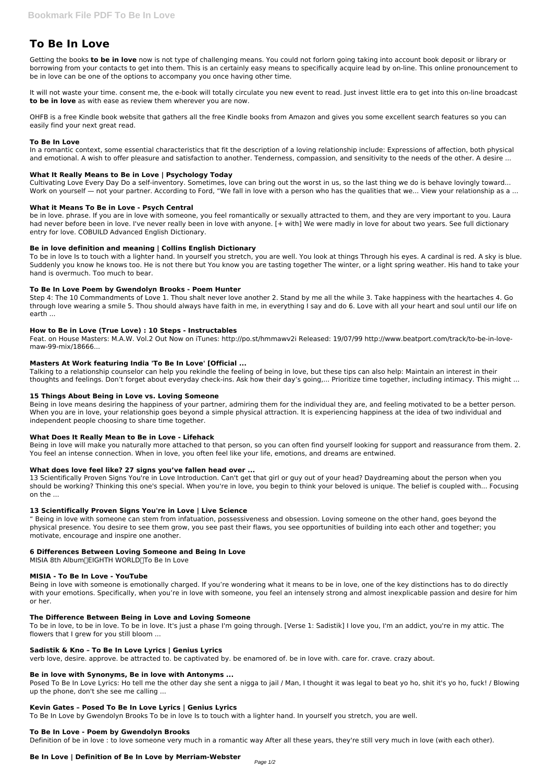# **To Be In Love**

Getting the books **to be in love** now is not type of challenging means. You could not forlorn going taking into account book deposit or library or borrowing from your contacts to get into them. This is an certainly easy means to specifically acquire lead by on-line. This online pronouncement to be in love can be one of the options to accompany you once having other time.

It will not waste your time. consent me, the e-book will totally circulate you new event to read. Just invest little era to get into this on-line broadcast **to be in love** as with ease as review them wherever you are now.

Cultivating Love Every Day Do a self-inventory. Sometimes, love can bring out the worst in us, so the last thing we do is behave lovingly toward... Work on yourself — not your partner. According to Ford, "We fall in love with a person who has the qualities that we... View your relationship as a ...

OHFB is a free Kindle book website that gathers all the free Kindle books from Amazon and gives you some excellent search features so you can easily find your next great read.

## **To Be In Love**

In a romantic context, some essential characteristics that fit the description of a loving relationship include: Expressions of affection, both physical and emotional. A wish to offer pleasure and satisfaction to another. Tenderness, compassion, and sensitivity to the needs of the other. A desire ...

# **What It Really Means to Be in Love | Psychology Today**

## **What it Means To Be in Love - Psych Central**

be in love. phrase. If you are in love with someone, you feel romantically or sexually attracted to them, and they are very important to you. Laura had never before been in love. I've never really been in love with anyone. [+ with] We were madly in love for about two years. See full dictionary entry for love. COBUILD Advanced English Dictionary.

# **Be in love definition and meaning | Collins English Dictionary**

To be in love Is to touch with a lighter hand. In yourself you stretch, you are well. You look at things Through his eyes. A cardinal is red. A sky is blue. Suddenly you know he knows too. He is not there but You know you are tasting together The winter, or a light spring weather. His hand to take your hand is overmuch. Too much to bear.

# **To Be In Love Poem by Gwendolyn Brooks - Poem Hunter**

Step 4: The 10 Commandments of Love 1. Thou shalt never love another 2. Stand by me all the while 3. Take happiness with the heartaches 4. Go through love wearing a smile 5. Thou should always have faith in me, in everything I say and do 6. Love with all your heart and soul until our life on earth ...

## **How to Be in Love (True Love) : 10 Steps - Instructables**

Feat. on House Masters: M.A.W. Vol.2 Out Now on iTunes: http://po.st/hmmawv2i Released: 19/07/99 http://www.beatport.com/track/to-be-in-lovemaw-99-mix/18666...

# **Masters At Work featuring India 'To Be In Love' [Official ...**

Posed To Be In Love Lyrics: Ho tell me the other day she sent a nigga to jail / Man, I thought it was legal to beat yo ho, shit it's yo ho, fuck! / Blowing up the phone, don't she see me calling ...

Talking to a relationship counselor can help you rekindle the feeling of being in love, but these tips can also help: Maintain an interest in their thoughts and feelings. Don't forget about everyday check-ins. Ask how their day's going,... Prioritize time together, including intimacy. This might ...

## **15 Things About Being in Love vs. Loving Someone**

Being in love means desiring the happiness of your partner, admiring them for the individual they are, and feeling motivated to be a better person. When you are in love, your relationship goes beyond a simple physical attraction. It is experiencing happiness at the idea of two individual and independent people choosing to share time together.

## **What Does It Really Mean to Be in Love - Lifehack**

Being in love will make you naturally more attached to that person, so you can often find yourself looking for support and reassurance from them. 2. You feel an intense connection. When in love, you often feel like your life, emotions, and dreams are entwined.

## **What does love feel like? 27 signs you've fallen head over ...**

13 Scientifically Proven Signs You're in Love Introduction. Can't get that girl or guy out of your head? Daydreaming about the person when you should be working? Thinking this one's special. When you're in love, you begin to think your beloved is unique. The belief is coupled with... Focusing on the ...

## **13 Scientifically Proven Signs You're in Love | Live Science**

" Being in love with someone can stem from infatuation, possessiveness and obsession. Loving someone on the other hand, goes beyond the physical presence. You desire to see them grow, you see past their flaws, you see opportunities of building into each other and together; you motivate, encourage and inspire one another.

## **6 Differences Between Loving Someone and Being In Love**

MISIA 8th Album∏EIGHTH WORLD∏To Be In Love

## **MISIA - To Be In Love - YouTube**

Being in love with someone is emotionally charged. If you're wondering what it means to be in love, one of the key distinctions has to do directly

with your emotions. Specifically, when you're in love with someone, you feel an intensely strong and almost inexplicable passion and desire for him or her.

#### **The Difference Between Being in Love and Loving Someone**

To be in love, to be in love. To be in love. It's just a phase I'm going through. [Verse 1: Sadistik] I love you, I'm an addict, you're in my attic. The flowers that I grew for you still bloom ...

#### **Sadistik & Kno – To Be In Love Lyrics | Genius Lyrics**

verb love, desire. approve. be attracted to. be captivated by. be enamored of. be in love with. care for. crave. crazy about.

#### **Be in love with Synonyms, Be in love with Antonyms ...**

## **Kevin Gates – Posed To Be In Love Lyrics | Genius Lyrics**

To Be In Love by Gwendolyn Brooks To be in love Is to touch with a lighter hand. In yourself you stretch, you are well.

#### **To Be In Love - Poem by Gwendolyn Brooks**

Definition of be in love : to love someone very much in a romantic way After all these years, they're still very much in love (with each other).

## **Be In Love | Definition of Be In Love by Merriam-Webster**